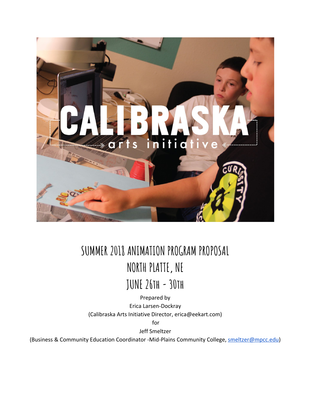

# **SUMMER 2018 ANIMATION PROGRAM PROPOSAL NORTH PLATTE, NE**

**JUNE 26th - 30th**

Prepared by Erica Larsen-Dockray (Calibraska Arts Initiative Director, erica@eekart.com)

for

Jeff Smeltzer

(Business & Community Education Coordinator -Mid-Plains Community College, **smeltzer@mpcc.edu**)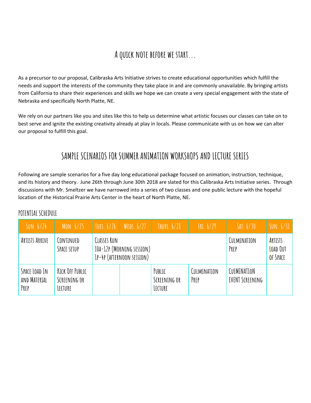## **A quick note before we start...**

As a precursor to our proposal, Calibraska Arts Initiative strives to create educational opportunities which fulfill the needs and support the interests of the community they take place in and are commonly unavailable. By bringing artists from California to share their experiences and skills we hope we can create a very special engagement with the state of Nebraska and specifically North Platte, NE.

We rely on our partners like you and sites like this to help us determine what artistic focuses our classes can take on to best serve and ignite the existing creativity already at play in locals. Please communicate with us on how we can alter our proposal to fulfill this goal.

## **SAMPLE SCENARIOS FOR SUMMER ANIMATION WORKSHOPS AND LECTURE SERIES**

Following are sample scenarios for a five day long educational package focused on animation, instruction, technique, and its history and theory. June 26th through June 30th 2018 are slated for this Calibraska Arts Initiative series. Through discussions with Mr. Smeltzer we have narrowed into a series of two classes and one public lecture with the hopeful location of the Historical Prairie Arts Center in the heart of North Platte, NE.

| SUN. 6/24                             | MON. 6/25                                  | TUES. 6/26                                                                   | WEDS.6/27 | THURS. 6/28                       | FRI.6/29            | $\text{MI}$ , $6/30$           | SUN. 6/31                       |
|---------------------------------------|--------------------------------------------|------------------------------------------------------------------------------|-----------|-----------------------------------|---------------------|--------------------------------|---------------------------------|
| ARTISTS ARRIVE                        | CONTINUED<br>SPACE SETUP                   | <b>CLASSES RUN</b><br>10A-12P (MORNING SESSION)<br>IP-4P (AFTERNOON SESSION) |           |                                   |                     | CULMINATION<br>PREP            | ARTISTS<br>LOAD OUT<br>OF SPACE |
| SPACE LOAD IN<br>AND MATERIAL<br>PREP | KICK OFF PUBLIC<br>SCREENING OR<br>LECTURE |                                                                              |           | PUBLIC<br>SCREENING OR<br>LECTURE | CULMINATION<br>PREP | CULMINATION<br>EVENT SCREENING |                                 |

### **POTENTIAL SCHEDULE**